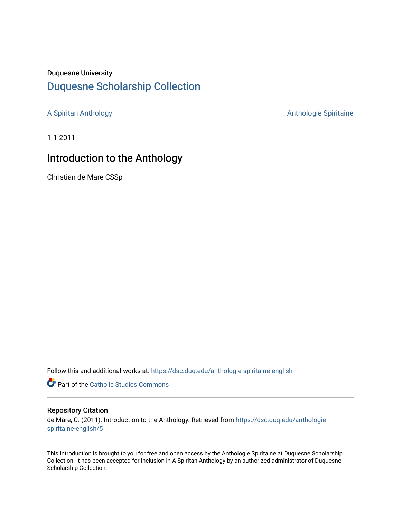## Duquesne University

# [Duquesne Scholarship Collection](https://dsc.duq.edu/)

[A Spiritan Anthology](https://dsc.duq.edu/anthologie-spiritaine-english) **Anthology** Anthologie Spiritaine

1-1-2011

# Introduction to the Anthology

Christian de Mare CSSp

Follow this and additional works at: [https://dsc.duq.edu/anthologie-spiritaine-english](https://dsc.duq.edu/anthologie-spiritaine-english?utm_source=dsc.duq.edu%2Fanthologie-spiritaine-english%2F5&utm_medium=PDF&utm_campaign=PDFCoverPages)

Part of the [Catholic Studies Commons](http://network.bepress.com/hgg/discipline/1294?utm_source=dsc.duq.edu%2Fanthologie-spiritaine-english%2F5&utm_medium=PDF&utm_campaign=PDFCoverPages)

### Repository Citation

de Mare, C. (2011). Introduction to the Anthology. Retrieved from [https://dsc.duq.edu/anthologie](https://dsc.duq.edu/anthologie-spiritaine-english/5?utm_source=dsc.duq.edu%2Fanthologie-spiritaine-english%2F5&utm_medium=PDF&utm_campaign=PDFCoverPages)[spiritaine-english/5](https://dsc.duq.edu/anthologie-spiritaine-english/5?utm_source=dsc.duq.edu%2Fanthologie-spiritaine-english%2F5&utm_medium=PDF&utm_campaign=PDFCoverPages)

This Introduction is brought to you for free and open access by the Anthologie Spiritaine at Duquesne Scholarship Collection. It has been accepted for inclusion in A Spiritan Anthology by an authorized administrator of Duquesne Scholarship Collection.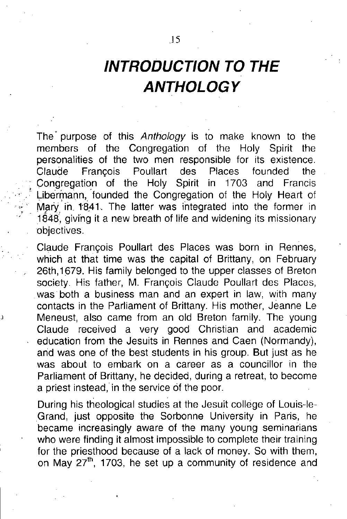The purpose of this Anthology is to make known to the members of the Congregation of the Holy Spirit the personalities of the two men responsible for its existence. Claude François Poullart des Places founded the Congregation of the Holy Spirit in 1703 and Francis Libermann, founded the Congregation of the Holy Heart of Mary in 1841. The latter was integrated into the former in 1848', giving it a new breath of life and widening its missionary objectives.

Claude Francois Poullart des Places was born in Rennes, which at that time was the capital of Brittany, on February 26th,1679. His family belonged to the upper classes of Breton society. His father, M. François Claude Poullart des Places, was both a business man and an expert in law, with many contacts in the Parliament of Brittany. His mother, Jeanne Le Meneust, also came from an old Breton family. The young Claude received a very good Christian and academic education from the Jesuits in Rennes and Caen (Normandy), and was one of the best students in his group. But just as he was about to embark on a career as a councillor in the Parliament of Brittany, he decided, during a retreat, to become a priest instead, in the service of the poor.

During his theological studies at the Jesuit college of Louis-le-Grand, just opposite the Sorbonne University in Paris, he became increasingly aware of the many young seminarians who were finding it almost impossible to complete their training for the priesthood because of a lack of money. So with them, on the process could be a heart of money. So minimized, on May 27<sup>th</sup>, 1703, he set up a community of residence and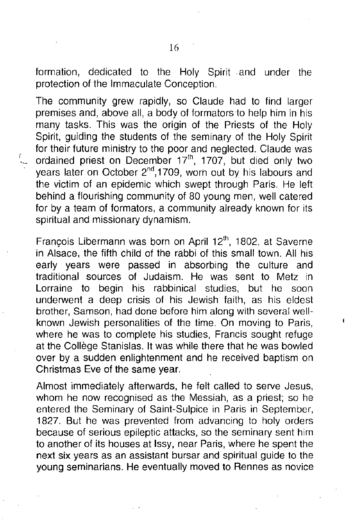formation, dedicated to the Holy Spirit and under the protection of the Immaculate Conception.

The community grew rapidly, so Claude had to find larger premises and, above all, a body of formators to help him in his many tasks. This was the origin of the Priests of the Holy Spirit, guiding the students of the seminary of the Holy Spirit for their future ministry to the poor and neglected. Claude was ordained priest on December  $17<sup>th</sup>$ , 1707, but died only two years later on October 2<sup>nd</sup>, 1709, worn out by his labours and the victim of an epidemic which swept through Paris. He left behind a flourishing community of 80 young men, well catered for by a team of formators, a community already known for its spiritual and missionary dynamism.

François Libermann was born on April 12<sup>th</sup>, 1802, at Saverne in Alsace, the fifth child of the rabbi of this small town. All his early years were passed in absorbing the culture and traditional sources of Judaism. He was sent to Metz in Lorraine to begin his rabbinical studies, but he soon underwent a deep crisis of his Jewish faith, as his eldest brother, Samson, had done before him along with several wellknown Jewish personalities of the time. On moving to Paris, where he was to complete his studies, Francis sought refuge at the Collège Stanislas. It was while there that he was bowled over by a sudden enlightenment and he received baptism on Christmas Eve of the same year.

Almost immediately afterwards, he felt called to serve Jesus, whom he now recognised as the Messiah, as a priest; so he entered the Seminary of Saint-Sulpice in Paris in September, 1827. But he was prevented from advancing to holy orders because of serious epileptic attacks, so the seminary sent him to another of its houses at Issy, near Paris, where he spent the next six years as an assistant bursar and spiritual guide to the young seminarians. He eventually moved to Rennes as novice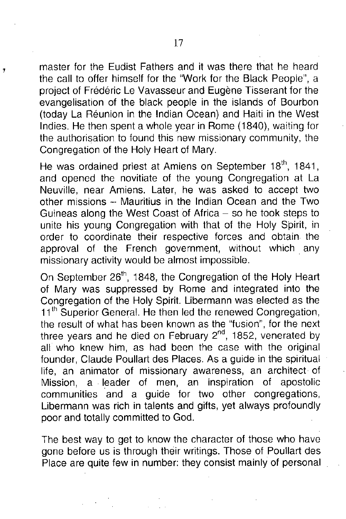master for the Eudist Fathers and it was there that he heard the call to offer himself for the "Work for the Black People", a project of Frederic Le Vavasseur and Eugene Tisserant for the evangelisation of the black people in the islands of Bourbon (today La Reunion in the Indian Ocean) and Haiti in the West Indies. He then spent a whole year in Rome (1840), waiting for the authorisation to found this new missionary community, the Congregation of the Holy Heart of Mary.

He was ordained priest at Amiens on September 18<sup>th</sup>, 1841, and opened the novitiate of the young Congregation at La Neuville, near Amiens. Later, he was asked to accept two other missions  $-$  Mauritius in the Indian Ocean and the Two Guineas along the West Coast of Africa - so he took steps to unite his young Congregation with that of the Holy Spirit, in order to coordinate their respective forces and obtain the approval of the French government, without which. any missionary activity would be almost impossible.

On September 26<sup>th</sup>, 1848, the Congregation of the Holy Heart of Mary was suppressed by Rome and integrated into the Congregation of the Holy Spirit. Libermann was elected as the 11<sup>th</sup> Superior General. He then led the renewed Congregation, the result of what has been known as the "fusion", for the next three years and he died on February  $2<sup>nd</sup>$ , 1852, venerated by all who knew him, as had been the case with the original founder, Claude Poullart des Places. As a guide in the spiritual life, an animator of missionary awareness, an architect of Mission, a leader of men, an inspiration of apostolic communities and a guide for two other congregations, Libermann was rich in talents and gifts, yet always profoundly poor and totally committed to God.

The best way to get to know the character of those who have gone before us is through their writings. Those of Poullart des Place are quite few in number: they consist mainly of personal

,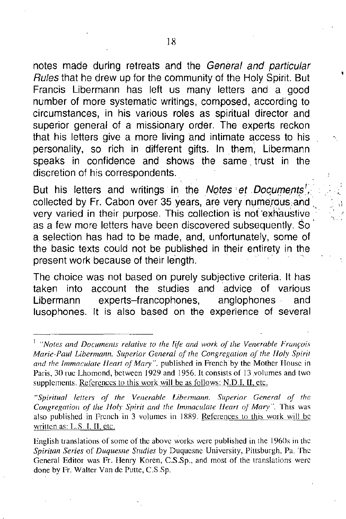notes made during retreats and the *General and particular Rules* that he drew up for the community of the Holy Spirit. But Francis Libermann has left us many letters and a good number of more systematic writings, composed, according to circumstances, in his various roles as spiritual director and superior general of a missionary order. The experts reckon that his letters give a more living and intimate access to his personality, so rich in different gifts. In. them, Libermann speaks in confidence and shows the same. trust in the discretion of his correspondents.

But his letters and writings in the *Notes et Documents<sup>1</sup>*, collected by Fr. Cabon over 35 years, are very numerous and very varied in their purpose. This collection is not 'exhaustive as a few more letters have been discovered subsequently. So a selection has had to be made, and, unfortunately, some of the basic texts could not be published in their entirety in the present work because of their length.

The choice was not based on purely subjective criteria. It has taken into account the studies and advice of various Libermann experts-francophones, anglophones and lusophones. It is also based on the experience of several

*"Spiritual letters of the Venerable Lihermann. Superior General oj the Congregation oj the Holy Spirit and the Immaculate !Jeart of Mary".* This was also published in French in 3 volumes in IXR9. References to this work will be written as: L.S. I, II, etc.

<sup>I</sup> *"Notes and Documents relative to the life and work of the Venerable Fram;uis Marie-Paul Libermann, Superior General of the Congregation of the /Ioly Spiril Gild the Immaculate /leart of Mary".* published in French 'by the Mother House in Paris, 30 rue Lhomond, between 1929 and 1956. It consists of 13 volumes and two supplements. References to this work will be as follows: N.D.I, II, etc.

English translations of some of the above works were published in the 1960s in the *Spiritan Series* of *Duquesne Studies* by Duquesne University, Pittsburgh, Pa. The General Editor was Fr. Henry Koren, C.S.Sp., and most of the translations were done by Fr. Walter Van de Putte, C.S.Sp.